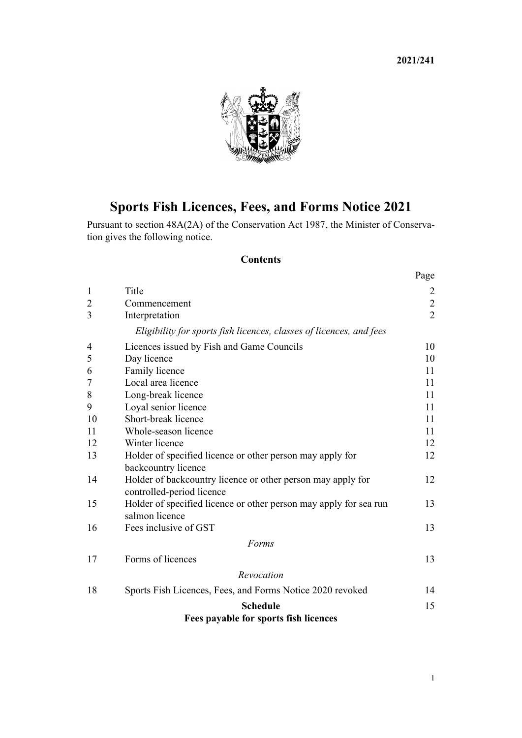**2021/241**



# **Sports Fish Licences, Fees, and Forms Notice 2021**

Pursuant to [section 48A\(2A\)](http://legislation.govt.nz/pdflink.aspx?id=DLM106694) of the [Conservation Act 1987](http://legislation.govt.nz/pdflink.aspx?id=DLM103609), the Minister of Conservation gives the following notice.

# **Contents**

|                |                                                                                     | Page           |
|----------------|-------------------------------------------------------------------------------------|----------------|
| $\mathbf{1}$   | Title                                                                               | $\overline{2}$ |
| $\overline{2}$ | Commencement                                                                        | $\overline{2}$ |
| 3              | Interpretation                                                                      | $\overline{2}$ |
|                | Eligibility for sports fish licences, classes of licences, and fees                 |                |
| 4              | Licences issued by Fish and Game Councils                                           | 10             |
| 5              | Day licence                                                                         | 10             |
| 6              | Family licence                                                                      | 11             |
| 7              | Local area licence                                                                  | 11             |
| 8              | Long-break licence                                                                  | 11             |
| 9              | Loyal senior licence                                                                | 11             |
| 10             | Short-break licence                                                                 | 11             |
| 11             | Whole-season licence                                                                | 11             |
| 12             | Winter licence                                                                      | 12             |
| 13             | Holder of specified licence or other person may apply for                           | 12             |
|                | backcountry licence                                                                 |                |
| 14             | Holder of backcountry licence or other person may apply for                         | 12             |
|                | controlled-period licence                                                           |                |
| 15             | Holder of specified licence or other person may apply for sea run<br>salmon licence | 13             |
| 16             | Fees inclusive of GST                                                               | 13             |
|                | Forms                                                                               |                |
| 17             | Forms of licences                                                                   | 13             |
|                | Revocation                                                                          |                |
| 18             | Sports Fish Licences, Fees, and Forms Notice 2020 revoked                           | 14             |
|                | <b>Schedule</b>                                                                     | 15             |
|                | Fees payable for sports fish licences                                               |                |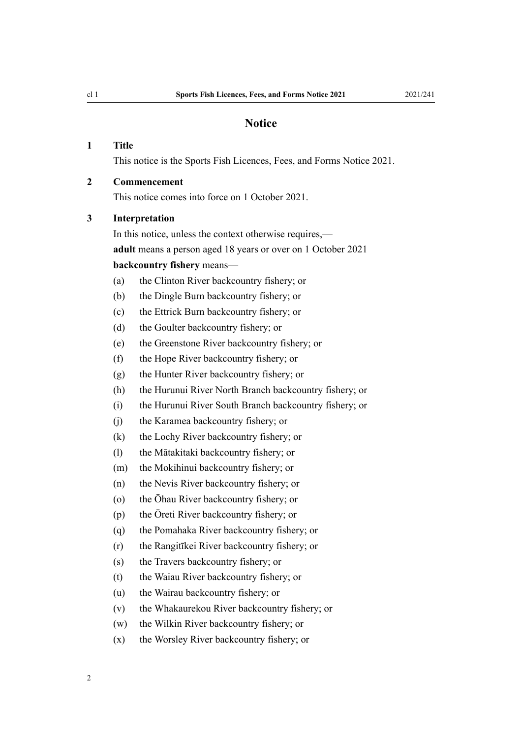#### **Notice**

## <span id="page-1-0"></span>**1 Title**

This notice is the Sports Fish Licences, Fees, and Forms Notice 2021.

# **2 Commencement**

This notice comes into force on 1 October 2021.

#### **3 Interpretation**

In this notice, unless the context otherwise requires, **adult** means a person aged 18 years or over on 1 October 2021 **backcountry fishery** means—

- (a) the Clinton River backcountry fishery; or
- (b) the Dingle Burn backcountry fishery; or
- (c) the Ettrick Burn backcountry fishery; or
- (d) the Goulter backcountry fishery; or
- (e) the Greenstone River backcountry fishery; or
- (f) the Hope River backcountry fishery; or
- (g) the Hunter River backcountry fishery; or
- (h) the Hurunui River North Branch backcountry fishery; or
- (i) the Hurunui River South Branch backcountry fishery; or
- (j) the Karamea backcountry fishery; or
- (k) the Lochy River backcountry fishery; or
- (l) the Mātakitaki backcountry fishery; or
- (m) the Mokihinui backcountry fishery; or
- (n) the Nevis River backcountry fishery; or
- (o) the Ōhau River backcountry fishery; or
- (p) the Ōreti River backcountry fishery; or
- (q) the Pomahaka River backcountry fishery; or
- (r) the Rangitīkei River backcountry fishery; or
- (s) the Travers backcountry fishery; or
- (t) the Waiau River backcountry fishery; or
- (u) the Wairau backcountry fishery; or
- (v) the Whakaurekou River backcountry fishery; or
- (w) the Wilkin River backcountry fishery; or
- (x) the Worsley River backcountry fishery; or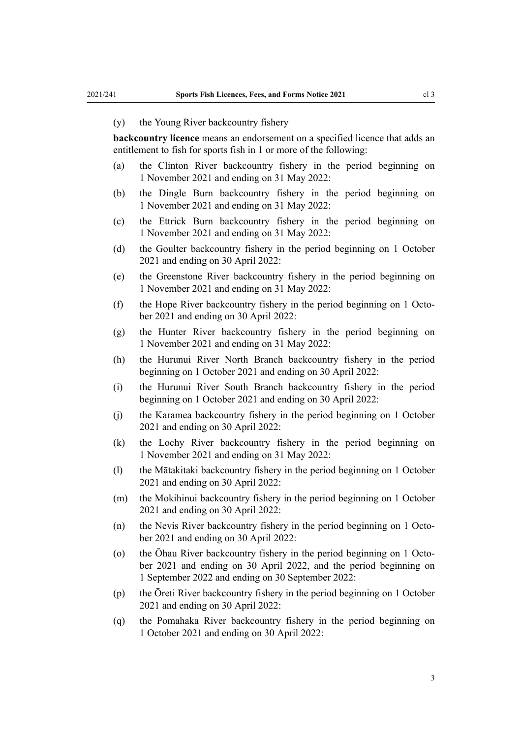#### (y) the Young River backcountry fishery

**backcountry licence** means an endorsement on a specified licence that adds an entitlement to fish for sports fish in 1 or more of the following:

- (a) the Clinton River backcountry fishery in the period beginning on 1 November 2021 and ending on 31 May 2022:
- (b) the Dingle Burn backcountry fishery in the period beginning on 1 November 2021 and ending on 31 May 2022:
- (c) the Ettrick Burn backcountry fishery in the period beginning on 1 November 2021 and ending on 31 May 2022:
- (d) the Goulter backcountry fishery in the period beginning on 1 October 2021 and ending on 30 April 2022:
- (e) the Greenstone River backcountry fishery in the period beginning on 1 November 2021 and ending on 31 May 2022:
- (f) the Hope River backcountry fishery in the period beginning on 1 October 2021 and ending on 30 April 2022:
- (g) the Hunter River backcountry fishery in the period beginning on 1 November 2021 and ending on 31 May 2022:
- (h) the Hurunui River North Branch backcountry fishery in the period beginning on 1 October 2021 and ending on 30 April 2022:
- (i) the Hurunui River South Branch backcountry fishery in the period beginning on 1 October 2021 and ending on 30 April 2022:
- (j) the Karamea backcountry fishery in the period beginning on 1 October 2021 and ending on 30 April 2022:
- (k) the Lochy River backcountry fishery in the period beginning on 1 November 2021 and ending on 31 May 2022:
- (l) the Mātakitaki backcountry fishery in the period beginning on 1 October 2021 and ending on 30 April 2022:
- (m) the Mokihinui backcountry fishery in the period beginning on 1 October 2021 and ending on 30 April 2022:
- (n) the Nevis River backcountry fishery in the period beginning on 1 October 2021 and ending on 30 April 2022:
- (o) the Ōhau River backcountry fishery in the period beginning on 1 October 2021 and ending on 30 April 2022, and the period beginning on 1 September 2022 and ending on 30 September 2022:
- (p) the Ōreti River backcountry fishery in the period beginning on 1 October 2021 and ending on 30 April 2022:
- (q) the Pomahaka River backcountry fishery in the period beginning on 1 October 2021 and ending on 30 April 2022: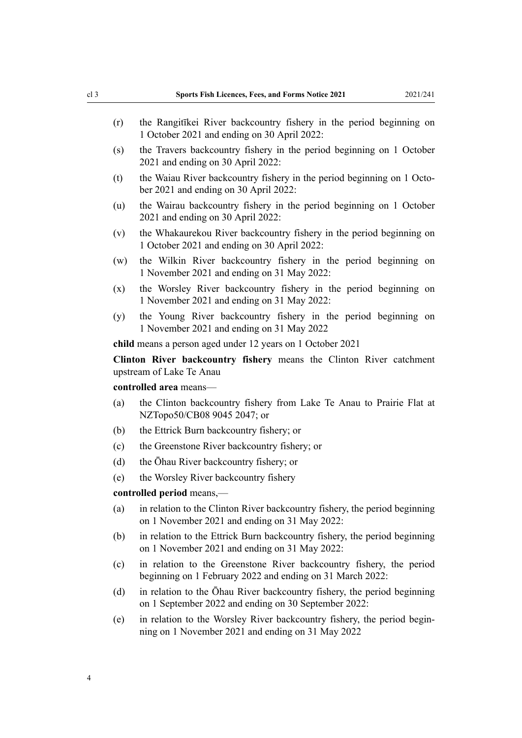- (r) the Rangitīkei River backcountry fishery in the period beginning on 1 October 2021 and ending on 30 April 2022:
- (s) the Travers backcountry fishery in the period beginning on 1 October 2021 and ending on 30 April 2022:
- (t) the Waiau River backcountry fishery in the period beginning on 1 October 2021 and ending on 30 April 2022:
- (u) the Wairau backcountry fishery in the period beginning on 1 October 2021 and ending on 30 April 2022:
- (v) the Whakaurekou River backcountry fishery in the period beginning on 1 October 2021 and ending on 30 April 2022:
- (w) the Wilkin River backcountry fishery in the period beginning on 1 November 2021 and ending on 31 May 2022:
- (x) the Worsley River backcountry fishery in the period beginning on 1 November 2021 and ending on 31 May 2022:
- (y) the Young River backcountry fishery in the period beginning on 1 November 2021 and ending on 31 May 2022

**child** means a person aged under 12 years on 1 October 2021

**Clinton River backcountry fishery** means the Clinton River catchment upstream of Lake Te Anau

#### **controlled area** means—

- (a) the Clinton backcountry fishery from Lake Te Anau to Prairie Flat at NZTopo50/CB08 9045 2047; or
- (b) the Ettrick Burn backcountry fishery; or
- (c) the Greenstone River backcountry fishery; or
- (d) the Ōhau River backcountry fishery; or
- (e) the Worsley River backcountry fishery

#### **controlled period** means,—

- (a) in relation to the Clinton River backcountry fishery, the period beginning on 1 November 2021 and ending on 31 May 2022:
- (b) in relation to the Ettrick Burn backcountry fishery, the period beginning on 1 November 2021 and ending on 31 May 2022:
- (c) in relation to the Greenstone River backcountry fishery, the period beginning on 1 February 2022 and ending on 31 March 2022:
- (d) in relation to the Ōhau River backcountry fishery, the period beginning on 1 September 2022 and ending on 30 September 2022:
- (e) in relation to the Worsley River backcountry fishery, the period begin‐ ning on 1 November 2021 and ending on 31 May 2022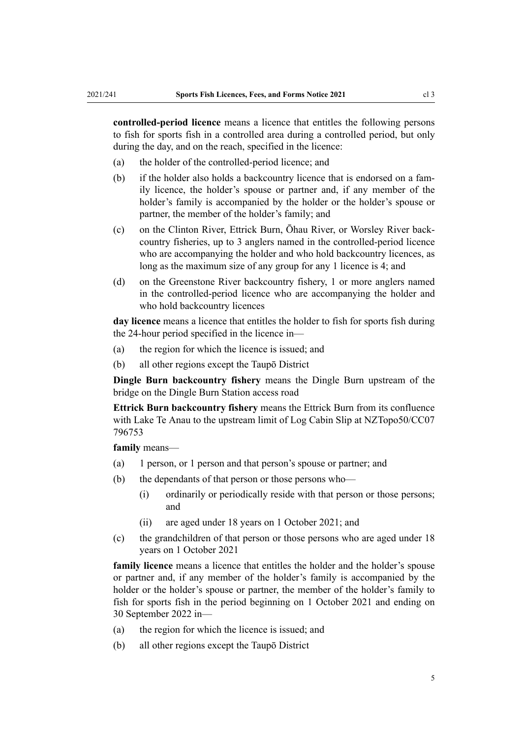**controlled-period licence** means a licence that entitles the following persons to fish for sports fish in a controlled area during a controlled period, but only during the day, and on the reach, specified in the licence:

- (a) the holder of the controlled-period licence; and
- (b) if the holder also holds a backcountry licence that is endorsed on a fam‐ ily licence, the holder's spouse or partner and, if any member of the holder's family is accompanied by the holder or the holder's spouse or partner, the member of the holder's family; and
- (c) on the Clinton River, Ettrick Burn, Ōhau River, or Worsley River back‐ country fisheries, up to 3 anglers named in the controlled-period licence who are accompanying the holder and who hold backcountry licences, as long as the maximum size of any group for any 1 licence is 4; and
- (d) on the Greenstone River backcountry fishery, 1 or more anglers named in the controlled-period licence who are accompanying the holder and who hold backcountry licences

**day licence** means a licence that entitles the holder to fish for sports fish during the 24-hour period specified in the licence in—

- (a) the region for which the licence is issued; and
- (b) all other regions except the Taupō District

**Dingle Burn backcountry fishery** means the Dingle Burn upstream of the bridge on the Dingle Burn Station access road

**Ettrick Burn backcountry fishery** means the Ettrick Burn from its confluence with Lake Te Anau to the upstream limit of Log Cabin Slip at NZTopo50/CC07 796753

**family** means—

- (a) 1 person, or 1 person and that person's spouse or partner; and
- (b) the dependants of that person or those persons who—
	- (i) ordinarily or periodically reside with that person or those persons; and
	- (ii) are aged under 18 years on 1 October 2021; and
- (c) the grandchildren of that person or those persons who are aged under 18 years on 1 October 2021

**family licence** means a licence that entitles the holder and the holder's spouse or partner and, if any member of the holder's family is accompanied by the holder or the holder's spouse or partner, the member of the holder's family to fish for sports fish in the period beginning on 1 October 2021 and ending on 30 September 2022 in—

- (a) the region for which the licence is issued; and
- (b) all other regions except the Taupō District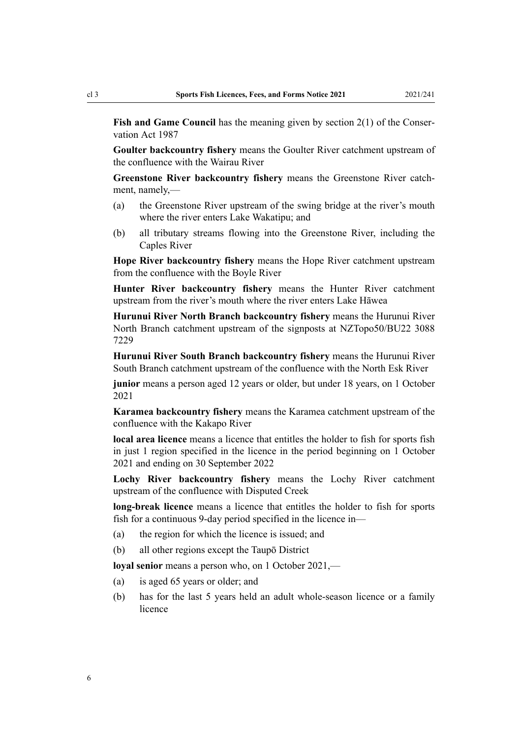**Fish and Game Council** has the meaning given by [section 2\(1\)](http://legislation.govt.nz/pdflink.aspx?id=DLM103616) of the Conservation Act 1987

**Goulter backcountry fishery** means the Goulter River catchment upstream of the confluence with the Wairau River

**Greenstone River backcountry fishery** means the Greenstone River catch‐ ment, namely,—

- (a) the Greenstone River upstream of the swing bridge at the river's mouth where the river enters Lake Wakatipu; and
- (b) all tributary streams flowing into the Greenstone River, including the Caples River

**Hope River backcountry fishery** means the Hope River catchment upstream from the confluence with the Boyle River

**Hunter River backcountry fishery** means the Hunter River catchment upstream from the river's mouth where the river enters Lake Hāwea

**Hurunui River North Branch backcountry fishery** means the Hurunui River North Branch catchment upstream of the signposts at NZTopo50/BU22 3088 7229

**Hurunui River South Branch backcountry fishery** means the Hurunui River South Branch catchment upstream of the confluence with the North Esk River

**junior** means a person aged 12 years or older, but under 18 years, on 1 October 2021

**Karamea backcountry fishery** means the Karamea catchment upstream of the confluence with the Kakapo River

**local area licence** means a licence that entitles the holder to fish for sports fish in just 1 region specified in the licence in the period beginning on 1 October 2021 and ending on 30 September 2022

**Lochy River backcountry fishery** means the Lochy River catchment upstream of the confluence with Disputed Creek

**long-break licence** means a licence that entitles the holder to fish for sports fish for a continuous 9-day period specified in the licence in—

- (a) the region for which the licence is issued; and
- (b) all other regions except the Taupō District

**loyal senior** means a person who, on 1 October 2021,—

- (a) is aged 65 years or older; and
- (b) has for the last 5 years held an adult whole-season licence or a family licence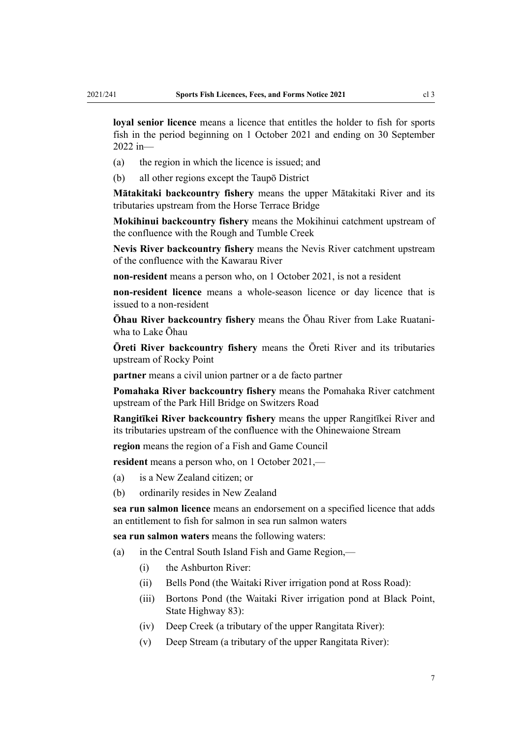**loyal senior licence** means a licence that entitles the holder to fish for sports fish in the period beginning on 1 October 2021 and ending on 30 September 2022 in—

- (a) the region in which the licence is issued; and
- (b) all other regions except the Taupō District

**Mātakitaki backcountry fishery** means the upper Mātakitaki River and its tributaries upstream from the Horse Terrace Bridge

**Mokihinui backcountry fishery** means the Mokihinui catchment upstream of the confluence with the Rough and Tumble Creek

**Nevis River backcountry fishery** means the Nevis River catchment upstream of the confluence with the Kawarau River

**non-resident** means a person who, on 1 October 2021, is not a resident

**non-resident licence** means a whole-season licence or day licence that is issued to a non-resident

**Ōhau River backcountry fishery** means the Ōhau River from Lake Ruatani‐ wha to Lake Ōhau

**Ōreti River backcountry fishery** means the Ōreti River and its tributaries upstream of Rocky Point

**partner** means a civil union partner or a de facto partner

**Pomahaka River backcountry fishery** means the Pomahaka River catchment upstream of the Park Hill Bridge on Switzers Road

**Rangitīkei River backcountry fishery** means the upper Rangitīkei River and its tributaries upstream of the confluence with the Ohinewaione Stream

**region** means the region of a Fish and Game Council

**resident** means a person who, on 1 October 2021,—

- (a) is a New Zealand citizen; or
- (b) ordinarily resides in New Zealand

**sea run salmon licence** means an endorsement on a specified licence that adds an entitlement to fish for salmon in sea run salmon waters

**sea run salmon waters** means the following waters:

- (a) in the Central South Island Fish and Game Region,—
	- (i) the Ashburton River:
	- (ii) Bells Pond (the Waitaki River irrigation pond at Ross Road):
	- (iii) Bortons Pond (the Waitaki River irrigation pond at Black Point, State Highway 83):
	- (iv) Deep Creek (a tributary of the upper Rangitata River):
	- (v) Deep Stream (a tributary of the upper Rangitata River):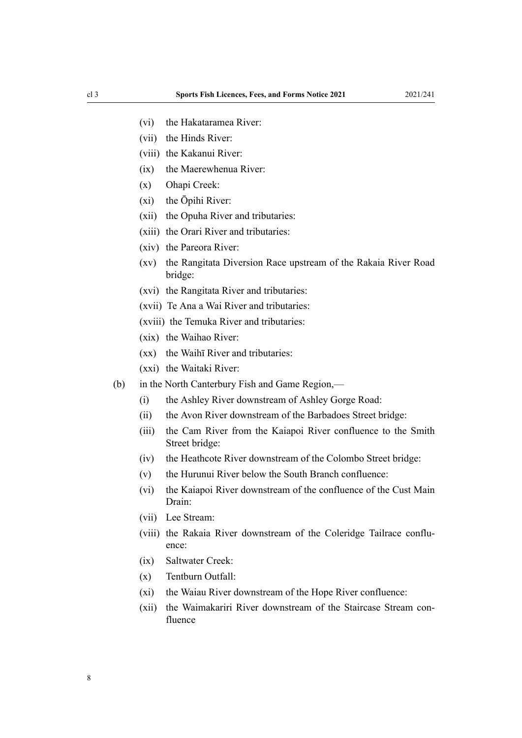- (vi) the Hakataramea River:
- (vii) the Hinds River:
- (viii) the Kakanui River:
- (ix) the Maerewhenua River:
- (x) Ohapi Creek:
- (xi) the Ōpihi River:
- (xii) the Opuha River and tributaries:
- (xiii) the Orari River and tributaries:
- (xiv) the Pareora River:
- (xv) the Rangitata Diversion Race upstream of the Rakaia River Road bridge:
- (xvi) the Rangitata River and tributaries:
- (xvii) Te Ana a Wai River and tributaries:
- (xviii) the Temuka River and tributaries:
- (xix) the Waihao River:
- (xx) the Waihī River and tributaries:
- (xxi) the Waitaki River:
- (b) in the North Canterbury Fish and Game Region,—
	- (i) the Ashley River downstream of Ashley Gorge Road:
	- (ii) the Avon River downstream of the Barbadoes Street bridge:
	- (iii) the Cam River from the Kaiapoi River confluence to the Smith Street bridge:
	- (iv) the Heathcote River downstream of the Colombo Street bridge:
	- (v) the Hurunui River below the South Branch confluence:
	- (vi) the Kaiapoi River downstream of the confluence of the Cust Main Drain:
	- (vii) Lee Stream:
	- (viii) the Rakaia River downstream of the Coleridge Tailrace confluence:
	- (ix) Saltwater Creek:
	- (x) Tentburn Outfall:
	- (xi) the Waiau River downstream of the Hope River confluence:
	- (xii) the Waimakariri River downstream of the Staircase Stream con‐ fluence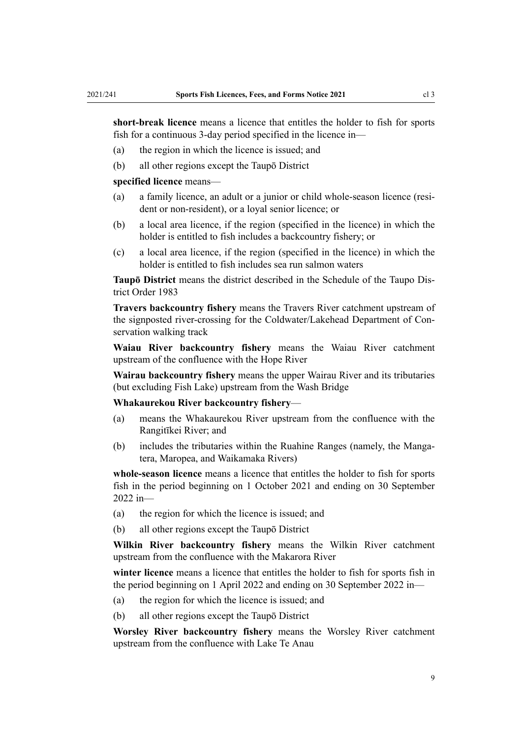**short-break licence** means a licence that entitles the holder to fish for sports fish for a continuous 3-day period specified in the licence in—

- (a) the region in which the licence is issued; and
- (b) all other regions except the Taupō District

#### **specified licence** means—

- (a) a family licence, an adult or a junior or child whole-season licence (resi‐ dent or non-resident), or a loyal senior licence; or
- (b) a local area licence, if the region (specified in the licence) in which the holder is entitled to fish includes a backcountry fishery; or
- (c) a local area licence, if the region (specified in the licence) in which the holder is entitled to fish includes sea run salmon waters

**Taupō District** means the district described in the [Schedule](http://legislation.govt.nz/pdflink.aspx?id=DLM94188) of the Taupo Dis‐ trict Order 1983

**Travers backcountry fishery** means the Travers River catchment upstream of the signposted river-crossing for the Coldwater/Lakehead Department of Con‐ servation walking track

**Waiau River backcountry fishery** means the Waiau River catchment upstream of the confluence with the Hope River

**Wairau backcountry fishery** means the upper Wairau River and its tributaries (but excluding Fish Lake) upstream from the Wash Bridge

#### **Whakaurekou River backcountry fishery**—

- (a) means the Whakaurekou River upstream from the confluence with the Rangitīkei River; and
- (b) includes the tributaries within the Ruahine Ranges (namely, the Mangatera, Maropea, and Waikamaka Rivers)

**whole-season licence** means a licence that entitles the holder to fish for sports fish in the period beginning on 1 October 2021 and ending on 30 September 2022 in—

- (a) the region for which the licence is issued; and
- (b) all other regions except the Taupō District

**Wilkin River backcountry fishery** means the Wilkin River catchment upstream from the confluence with the Makarora River

**winter licence** means a licence that entitles the holder to fish for sports fish in the period beginning on 1 April 2022 and ending on 30 September 2022 in—

- (a) the region for which the licence is issued; and
- (b) all other regions except the Taupō District

**Worsley River backcountry fishery** means the Worsley River catchment upstream from the confluence with Lake Te Anau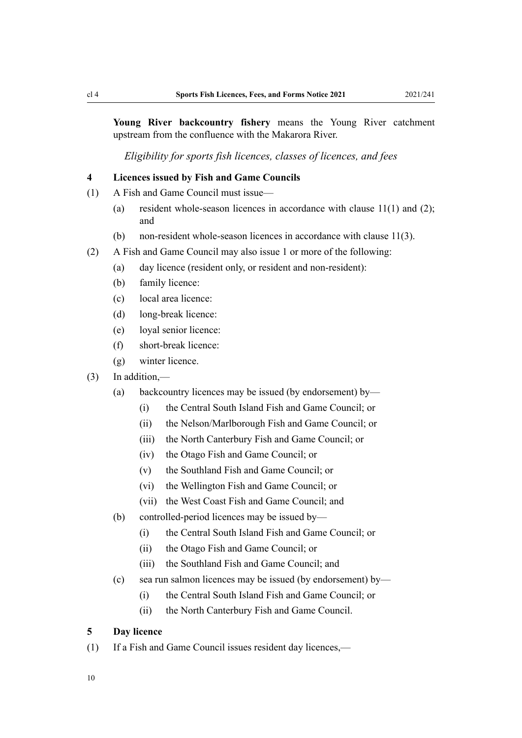<span id="page-9-0"></span>**Young River backcountry fishery** means the Young River catchment upstream from the confluence with the Makarora River.

*Eligibility for sports fish licences, classes of licences, and fees*

#### **4 Licences issued by Fish and Game Councils**

- (1) A Fish and Game Council must issue—
	- (a) resident whole-season licences in accordance with [clause 11\(1\) and \(2\);](#page-10-0) and
	- (b) non-resident whole-season licences in accordance with [clause 11\(3\).](#page-10-0)
- (2) A Fish and Game Council may also issue 1 or more of the following:
	- (a) day licence (resident only, or resident and non-resident):
	- (b) family licence:
	- (c) local area licence:
	- (d) long-break licence:
	- (e) loyal senior licence:
	- (f) short-break licence:
	- (g) winter licence.
- (3) In addition,—
	- (a) backcountry licences may be issued (by endorsement) by—
		- (i) the Central South Island Fish and Game Council; or
		- (ii) the Nelson/Marlborough Fish and Game Council; or
		- (iii) the North Canterbury Fish and Game Council; or
		- (iv) the Otago Fish and Game Council; or
		- (v) the Southland Fish and Game Council; or
		- (vi) the Wellington Fish and Game Council; or
		- (vii) the West Coast Fish and Game Council; and
	- (b) controlled-period licences may be issued by—
		- (i) the Central South Island Fish and Game Council; or
		- (ii) the Otago Fish and Game Council; or
		- (iii) the Southland Fish and Game Council; and
	- (c) sea run salmon licences may be issued (by endorsement) by—
		- (i) the Central South Island Fish and Game Council; or
		- (ii) the North Canterbury Fish and Game Council.

# **5 Day licence**

(1) If a Fish and Game Council issues resident day licences,—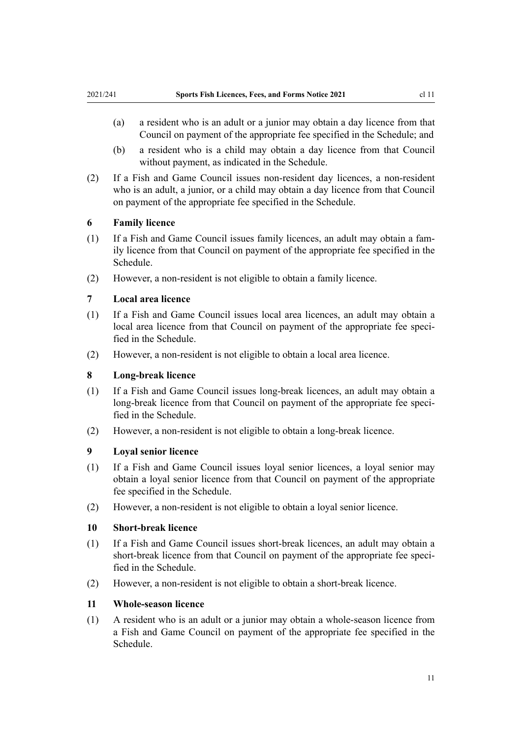- <span id="page-10-0"></span>(b) a resident who is a child may obtain a day licence from that Council without payment, as indicated in the [Schedule.](#page-14-0)
- (2) If a Fish and Game Council issues non-resident day licences, a non-resident who is an adult, a junior, or a child may obtain a day licence from that Council on payment of the appropriate fee specified in the [Schedule.](#page-14-0)

# **6 Family licence**

- (1) If a Fish and Game Council issues family licences, an adult may obtain a fam‐ ily licence from that Council on payment of the appropriate fee specified in the [Schedule](#page-14-0).
- (2) However, a non-resident is not eligible to obtain a family licence.

# **7 Local area licence**

- (1) If a Fish and Game Council issues local area licences, an adult may obtain a local area licence from that Council on payment of the appropriate fee specified in the [Schedule.](#page-14-0)
- (2) However, a non-resident is not eligible to obtain a local area licence.

#### **8 Long-break licence**

- (1) If a Fish and Game Council issues long-break licences, an adult may obtain a long-break licence from that Council on payment of the appropriate fee specified in the [Schedule.](#page-14-0)
- (2) However, a non-resident is not eligible to obtain a long-break licence.

#### **9 Loyal senior licence**

- (1) If a Fish and Game Council issues loyal senior licences, a loyal senior may obtain a loyal senior licence from that Council on payment of the appropriate fee specified in the [Schedule](#page-14-0).
- (2) However, a non-resident is not eligible to obtain a loyal senior licence.

#### **10 Short-break licence**

- (1) If a Fish and Game Council issues short-break licences, an adult may obtain a short-break licence from that Council on payment of the appropriate fee specified in the [Schedule.](#page-14-0)
- (2) However, a non-resident is not eligible to obtain a short-break licence.

#### **11 Whole-season licence**

(1) A resident who is an adult or a junior may obtain a whole-season licence from a Fish and Game Council on payment of the appropriate fee specified in the [Schedule](#page-14-0).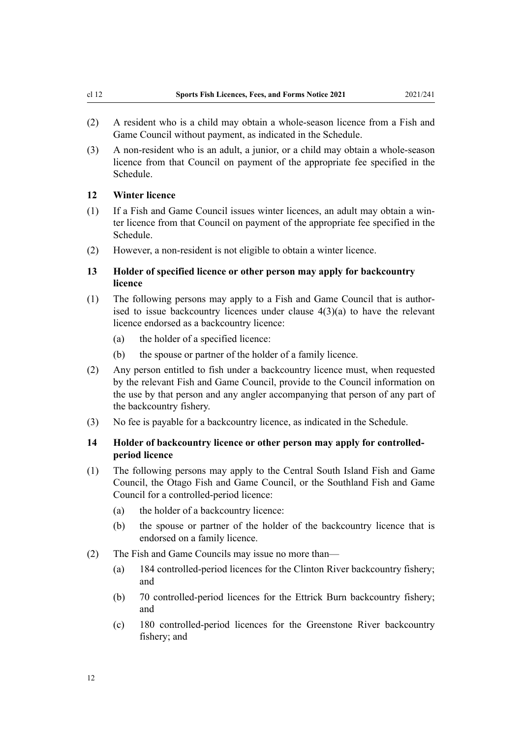- <span id="page-11-0"></span>(2) A resident who is a child may obtain a whole-season licence from a Fish and Game Council without payment, as indicated in the [Schedule.](#page-14-0)
- (3) A non-resident who is an adult, a junior, or a child may obtain a whole-season licence from that Council on payment of the appropriate fee specified in the [Schedule](#page-14-0).

#### **12 Winter licence**

- (1) If a Fish and Game Council issues winter licences, an adult may obtain a win‐ ter licence from that Council on payment of the appropriate fee specified in the [Schedule](#page-14-0).
- (2) However, a non-resident is not eligible to obtain a winter licence.

# **13 Holder of specified licence or other person may apply for backcountry licence**

- (1) The following persons may apply to a Fish and Game Council that is author‐ ised to issue backcountry licences under clause  $4(3)(a)$  to have the relevant licence endorsed as a backcountry licence:
	- (a) the holder of a specified licence:
	- (b) the spouse or partner of the holder of a family licence.
- (2) Any person entitled to fish under a backcountry licence must, when requested by the relevant Fish and Game Council, provide to the Council information on the use by that person and any angler accompanying that person of any part of the backcountry fishery.
- (3) No fee is payable for a backcountry licence, as indicated in the [Schedule.](#page-14-0)

## **14 Holder of backcountry licence or other person may apply for controlledperiod licence**

- (1) The following persons may apply to the Central South Island Fish and Game Council, the Otago Fish and Game Council, or the Southland Fish and Game Council for a controlled-period licence:
	- (a) the holder of a backcountry licence:
	- (b) the spouse or partner of the holder of the backcountry licence that is endorsed on a family licence.
- (2) The Fish and Game Councils may issue no more than—
	- (a) 184 controlled-period licences for the Clinton River backcountry fishery; and
	- (b) 70 controlled-period licences for the Ettrick Burn backcountry fishery; and
	- (c) 180 controlled-period licences for the Greenstone River backcountry fishery; and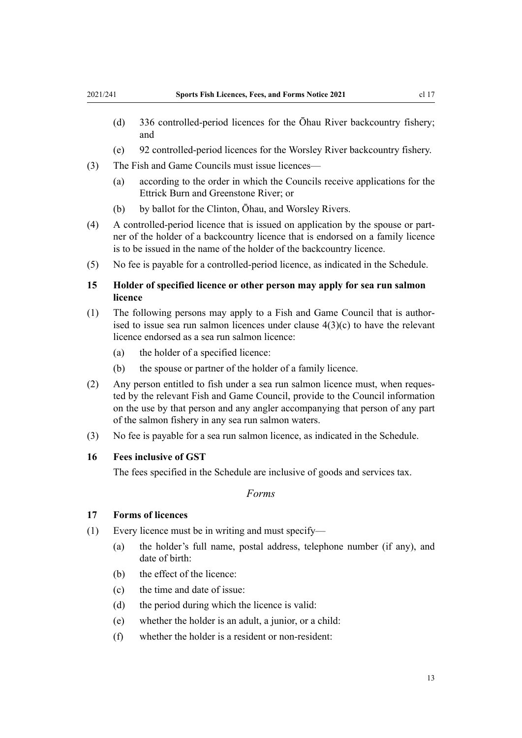- <span id="page-12-0"></span>(d) 336 controlled-period licences for the Ōhau River backcountry fishery; and
- (e) 92 controlled-period licences for the Worsley River backcountry fishery.
- (3) The Fish and Game Councils must issue licences—
	- (a) according to the order in which the Councils receive applications for the Ettrick Burn and Greenstone River; or
	- (b) by ballot for the Clinton, Ōhau, and Worsley Rivers.
- (4) A controlled-period licence that is issued on application by the spouse or part‐ ner of the holder of a backcountry licence that is endorsed on a family licence is to be issued in the name of the holder of the backcountry licence.
- (5) No fee is payable for a controlled-period licence, as indicated in the Schedule.

# **15 Holder of specified licence or other person may apply for sea run salmon licence**

- (1) The following persons may apply to a Fish and Game Council that is author‐ ised to issue sea run salmon licences under [clause 4\(3\)\(c\)](#page-9-0) to have the relevant licence endorsed as a sea run salmon licence:
	- (a) the holder of a specified licence:
	- (b) the spouse or partner of the holder of a family licence.
- (2) Any person entitled to fish under a sea run salmon licence must, when reques‐ ted by the relevant Fish and Game Council, provide to the Council information on the use by that person and any angler accompanying that person of any part of the salmon fishery in any sea run salmon waters.
- (3) No fee is payable for a sea run salmon licence, as indicated in the [Schedule](#page-14-0).

#### **16 Fees inclusive of GST**

The fees specified in the [Schedule](#page-14-0) are inclusive of goods and services tax.

*Forms*

#### **17 Forms of licences**

- (1) Every licence must be in writing and must specify—
	- (a) the holder's full name, postal address, telephone number (if any), and date of birth:
	- (b) the effect of the licence:
	- (c) the time and date of issue:
	- (d) the period during which the licence is valid:
	- (e) whether the holder is an adult, a junior, or a child:
	- (f) whether the holder is a resident or non-resident: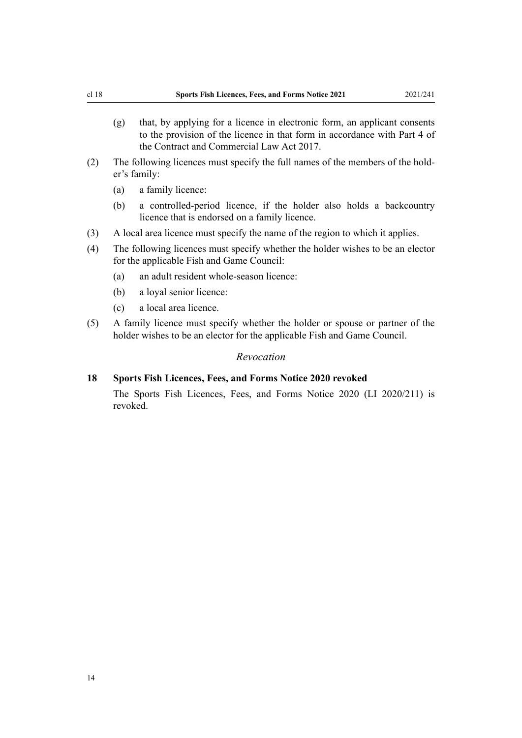- <span id="page-13-0"></span>(g) that, by applying for a licence in electronic form, an applicant consents to the provision of the licence in that form in accordance with [Part 4](http://legislation.govt.nz/pdflink.aspx?id=DLM6844429) of the Contract and Commercial Law Act 2017.
- (2) The following licences must specify the full names of the members of the hold‐ er's family:
	- (a) a family licence:
	- (b) a controlled-period licence, if the holder also holds a backcountry licence that is endorsed on a family licence.
- (3) A local area licence must specify the name of the region to which it applies.
- (4) The following licences must specify whether the holder wishes to be an elector for the applicable Fish and Game Council:
	- (a) an adult resident whole-season licence:
	- (b) a loyal senior licence:
	- (c) a local area licence.

revoked.

(5) A family licence must specify whether the holder or spouse or partner of the holder wishes to be an elector for the applicable Fish and Game Council.

#### *Revocation*

**18 Sports Fish Licences, Fees, and Forms Notice 2020 revoked** The [Sports Fish Licences, Fees, and Forms Notice 2020](http://legislation.govt.nz/pdflink.aspx?id=LMS380542) (LI 2020/211) is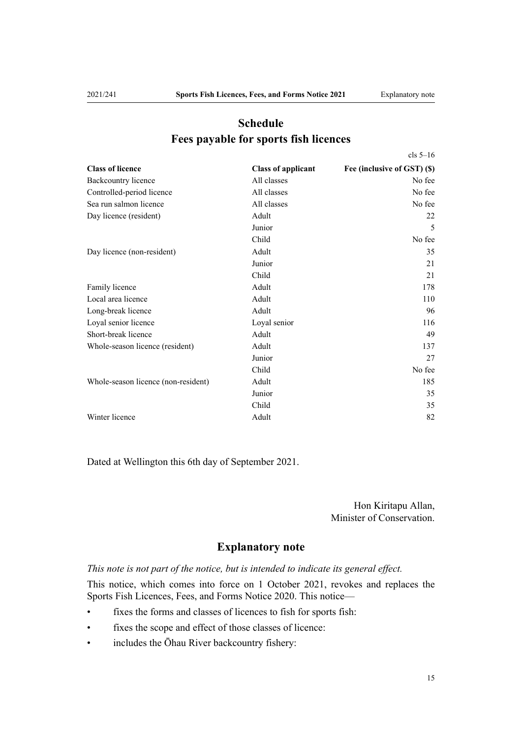[cls 5–16](#page-9-0)

# <span id="page-14-0"></span>**Schedule Fees payable for sports fish licences**

| <b>Class of licence</b>             | <b>Class of applicant</b> | Fee (inclusive of GST) (\$) |  |
|-------------------------------------|---------------------------|-----------------------------|--|
| Backcountry licence                 | All classes               | No fee                      |  |
| Controlled-period licence           | All classes               | No fee                      |  |
| Sea run salmon licence              | All classes               | No fee                      |  |
| Day licence (resident)              | Adult                     | 22                          |  |
|                                     | Junior                    | 5                           |  |
|                                     | Child                     | No fee                      |  |
| Day licence (non-resident)          | Adult                     | 35                          |  |
|                                     | Junior                    | 21                          |  |
|                                     | Child                     | 21                          |  |
| Family licence                      | Adult                     | 178                         |  |
| Local area licence                  | Adult                     | 110                         |  |
| Long-break licence                  | Adult                     | 96                          |  |
| Loyal senior licence                | Loyal senior              | 116                         |  |
| Short-break licence                 | Adult                     | 49                          |  |
| Whole-season licence (resident)     | Adult                     | 137                         |  |
|                                     | Junior                    | 27                          |  |
|                                     | Child                     | No fee                      |  |
| Whole-season licence (non-resident) | Adult                     | 185                         |  |
|                                     | Junior                    | 35                          |  |
|                                     | Child                     | 35                          |  |
| Winter licence                      | Adult                     | 82                          |  |

Dated at Wellington this 6th day of September 2021.

Hon Kiritapu Allan, Minister of Conservation.

# **Explanatory note**

*This note is not part of the notice, but is intended to indicate its general effect.*

This notice, which comes into force on 1 October 2021, revokes and replaces the [Sports Fish Licences, Fees, and Forms Notice 2020.](http://legislation.govt.nz/pdflink.aspx?id=LMS380542) This notice—

- fixes the forms and classes of licences to fish for sports fish:
- fixes the scope and effect of those classes of licence:
- includes the Ōhau River backcountry fishery: